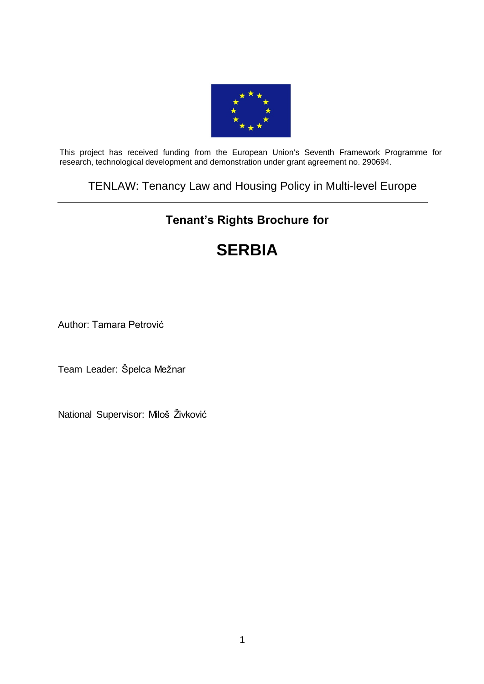

This project has received funding from the European Union's Seventh Framework Programme for research, technological development and demonstration under grant agreement no. 290694.

# TENLAW: Tenancy Law and Housing Policy in Multi-level Europe

# **Tenant's Rights Brochure for**

# **[SERBIA](https://webgate.ec.europa.eu/sesam-fp7/deliverables.do?action=view&sessionId=TBM1SWtG0CVy1ZcGHjphqtn8G8y48z0HWpBnxYCj6J22jlDVsHkp%21794754826%211389784548214&selectedId=1251093&version=2.0&idType=cpm)**

Author: Tamara Petrović

Team Leader: Špelca Mežnar

National Supervisor: Miloš Živković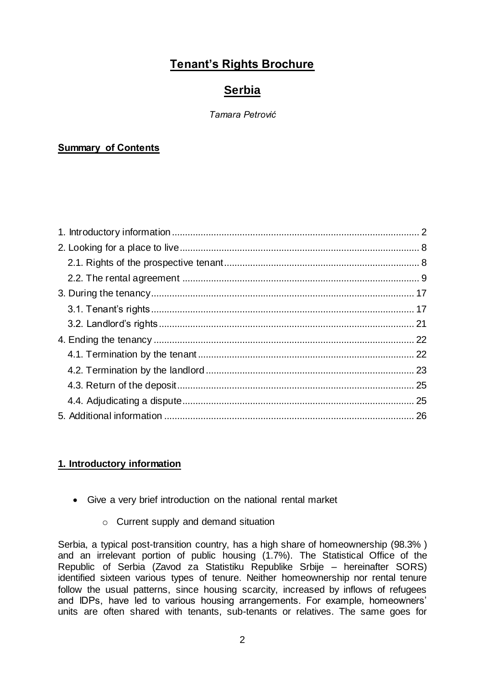# **Tenant's Rights Brochure**

# **Serbia**

#### *Tamara Petrović*

# **Summary of Contents**

# <span id="page-1-0"></span>**1. Introductory information**

- Give a very brief introduction on the national rental market
	- o Current supply and demand situation

Serbia, a typical post-transition country, has a high share of homeownership (98.3% ) and an irrelevant portion of public housing (1.7%). The Statistical Office of the Republic of Serbia (Zavod za Statistiku Republike Srbije – hereinafter SORS) identified sixteen various types of tenure. Neither homeownership nor rental tenure follow the usual patterns, since housing scarcity, increased by inflows of refugees and IDPs, have led to various housing arrangements. For example, homeowners' units are often shared with tenants, sub-tenants or relatives. The same goes for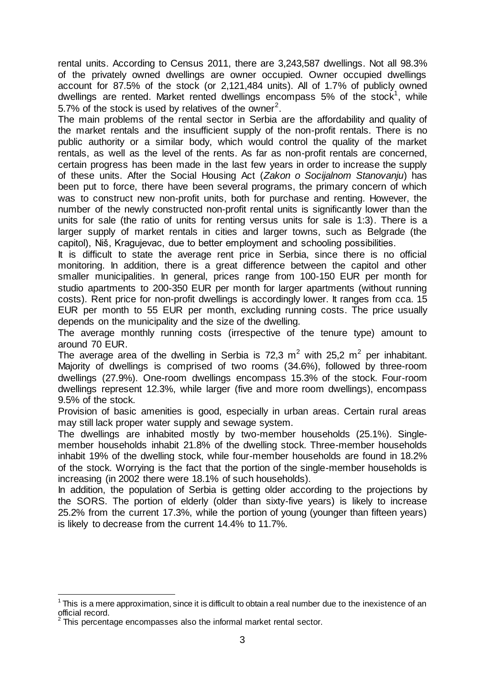rental units. According to Census 2011, there are 3,243,587 dwellings. Not all 98.3% of the privately owned dwellings are owner occupied. Owner occupied dwellings account for 87.5% of the stock (or 2,121,484 units). All of 1.7% of publicly owned dwellings are rented. Market rented dwellings encompass 5% of the stock<sup>1</sup>, while 5.7% of the stock is used by relatives of the owner<sup>2</sup>.

The main problems of the rental sector in Serbia are the affordability and quality of the market rentals and the insufficient supply of the non-profit rentals. There is no public authority or a similar body, which would control the quality of the market rentals, as well as the level of the rents. As far as non-profit rentals are concerned, certain progress has been made in the last few years in order to increase the supply of these units. After the Social Housing Act (*Zakon o Socijalnom Stanovanju*) has been put to force, there have been several programs, the primary concern of which was to construct new non-profit units, both for purchase and renting. However, the number of the newly constructed non-profit rental units is significantly lower than the units for sale (the ratio of units for renting versus units for sale is 1:3). There is a larger supply of market rentals in cities and larger towns, such as Belgrade (the capitol), Niš, Kragujevac, due to better employment and schooling possibilities.

It is difficult to state the average rent price in Serbia, since there is no official monitoring. In addition, there is a great difference between the capitol and other smaller municipalities. In general, prices range from 100-150 EUR per month for studio apartments to 200-350 EUR per month for larger apartments (without running costs). Rent price for non-profit dwellings is accordingly lower. It ranges from cca. 15 EUR per month to 55 EUR per month, excluding running costs. The price usually depends on the municipality and the size of the dwelling.

The average monthly running costs (irrespective of the tenure type) amount to around 70 EUR.

The average area of the dwelling in Serbia is 72,3  $m^2$  with 25,2  $m^2$  per inhabitant. Majority of dwellings is comprised of two rooms (34.6%), followed by three-room dwellings (27.9%). One-room dwellings encompass 15.3% of the stock. Four-room dwellings represent 12.3%, while larger (five and more room dwellings), encompass 9.5% of the stock.

Provision of basic amenities is good, especially in urban areas. Certain rural areas may still lack proper water supply and sewage system.

The dwellings are inhabited mostly by two-member households (25.1%). Singlemember households inhabit 21.8% of the dwelling stock. Three-member households inhabit 19% of the dwelling stock, while four-member households are found in 18.2% of the stock. Worrying is the fact that the portion of the single-member households is increasing (in 2002 there were 18.1% of such households).

In addition, the population of Serbia is getting older according to the projections by the SORS. The portion of elderly (older than sixty-five years) is likely to increase 25.2% from the current 17.3%, while the portion of young (younger than fifteen years) is likely to decrease from the current 14.4% to 11.7%.

-

 $1$ This is a mere approximation, since it is difficult to obtain a real number due to the inexistence of an official record.

<sup>2</sup> This percentage encompasses also the informal market rental sector.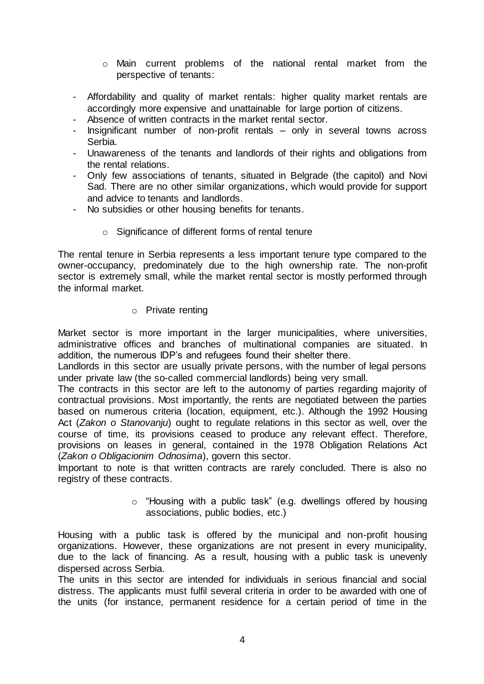- o Main current problems of the national rental market from the perspective of tenants:
- Affordability and quality of market rentals: higher quality market rentals are accordingly more expensive and unattainable for large portion of citizens.
- Absence of written contracts in the market rental sector.
- Insignificant number of non-profit rentals only in several towns across Serbia.
- Unawareness of the tenants and landlords of their rights and obligations from the rental relations.
- Only few associations of tenants, situated in Belgrade (the capitol) and Novi Sad. There are no other similar organizations, which would provide for support and advice to tenants and landlords.
- No subsidies or other housing benefits for tenants.
	- o Significance of different forms of rental tenure

The rental tenure in Serbia represents a less important tenure type compared to the owner-occupancy, predominately due to the high ownership rate. The non-profit sector is extremely small, while the market rental sector is mostly performed through the informal market.

o Private renting

Market sector is more important in the larger municipalities, where universities, administrative offices and branches of multinational companies are situated. In addition, the numerous IDP's and refugees found their shelter there.

Landlords in this sector are usually private persons, with the number of legal persons under private law (the so-called commercial landlords) being very small.

The contracts in this sector are left to the autonomy of parties regarding majority of contractual provisions. Most importantly, the rents are negotiated between the parties based on numerous criteria (location, equipment, etc.). Although the 1992 Housing Act (*Zakon o Stanovanju*) ought to regulate relations in this sector as well, over the course of time, its provisions ceased to produce any relevant effect. Therefore, provisions on leases in general, contained in the 1978 Obligation Relations Act (*Zakon o Obligacionim Odnosima*), govern this sector.

Important to note is that written contracts are rarely concluded. There is also no registry of these contracts.

> o "Housing with a public task" (e.g. dwellings offered by housing associations, public bodies, etc.)

Housing with a public task is offered by the municipal and non-profit housing organizations. However, these organizations are not present in every municipality, due to the lack of financing. As a result, housing with a public task is unevenly dispersed across Serbia.

The units in this sector are intended for individuals in serious financial and social distress. The applicants must fulfil several criteria in order to be awarded with one of the units (for instance, permanent residence for a certain period of time in the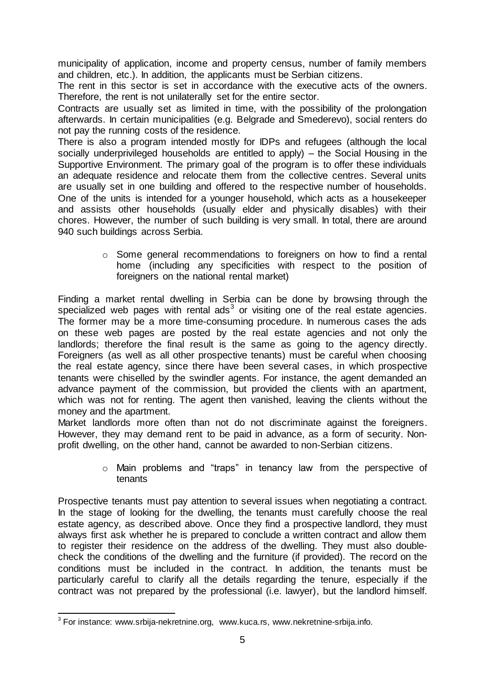municipality of application, income and property census, number of family members and children, etc.). In addition, the applicants must be Serbian citizens.

The rent in this sector is set in accordance with the executive acts of the owners. Therefore, the rent is not unilaterally set for the entire sector.

Contracts are usually set as limited in time, with the possibility of the prolongation afterwards. In certain municipalities (e.g. Belgrade and Smederevo), social renters do not pay the running costs of the residence.

There is also a program intended mostly for IDPs and refugees (although the local socially underprivileged households are entitled to apply) – the Social Housing in the Supportive Environment. The primary goal of the program is to offer these individuals an adequate residence and relocate them from the collective centres. Several units are usually set in one building and offered to the respective number of households. One of the units is intended for a younger household, which acts as a housekeeper and assists other households (usually elder and physically disables) with their chores. However, the number of such building is very small. In total, there are around 940 such buildings across Serbia.

> o Some general recommendations to foreigners on how to find a rental home (including any specificities with respect to the position of foreigners on the national rental market)

Finding a market rental dwelling in Serbia can be done by browsing through the specialized web pages with rental ads<sup>3</sup> or visiting one of the real estate agencies. The former may be a more time-consuming procedure. In numerous cases the ads on these web pages are posted by the real estate agencies and not only the landlords; therefore the final result is the same as going to the agency directly. Foreigners (as well as all other prospective tenants) must be careful when choosing the real estate agency, since there have been several cases, in which prospective tenants were chiselled by the swindler agents. For instance, the agent demanded an advance payment of the commission, but provided the clients with an apartment, which was not for renting. The agent then vanished, leaving the clients without the money and the apartment.

Market landlords more often than not do not discriminate against the foreigners. However, they may demand rent to be paid in advance, as a form of security. Nonprofit dwelling, on the other hand, cannot be awarded to non-Serbian citizens.

> o Main problems and "traps" in tenancy law from the perspective of tenants

Prospective tenants must pay attention to several issues when negotiating a contract. In the stage of looking for the dwelling, the tenants must carefully choose the real estate agency, as described above. Once they find a prospective landlord, they must always first ask whether he is prepared to conclude a written contract and allow them to register their residence on the address of the dwelling. They must also doublecheck the conditions of the dwelling and the furniture (if provided). The record on the conditions must be included in the contract. In addition, the tenants must be particularly careful to clarify all the details regarding the tenure, especially if the contract was not prepared by the professional (i.e. lawyer), but the landlord himself.

 3 For instance: www.srbija-nekretnine.org, www.kuca.rs, www.nekretnine-srbija.info.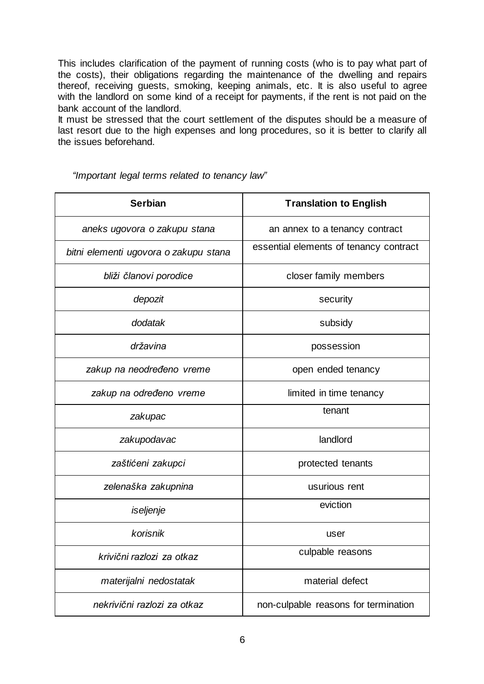This includes clarification of the payment of running costs (who is to pay what part of the costs), their obligations regarding the maintenance of the dwelling and repairs thereof, receiving guests, smoking, keeping animals, etc. It is also useful to agree with the landlord on some kind of a receipt for payments, if the rent is not paid on the bank account of the landlord.

It must be stressed that the court settlement of the disputes should be a measure of last resort due to the high expenses and long procedures, so it is better to clarify all the issues beforehand.

| <b>Serbian</b>                        | <b>Translation to English</b>          |
|---------------------------------------|----------------------------------------|
| aneks ugovora o zakupu stana          | an annex to a tenancy contract         |
| bitni elementi ugovora o zakupu stana | essential elements of tenancy contract |
| bliži članovi porodice                | closer family members                  |
| depozit                               | security                               |
| dodatak                               | subsidy                                |
| državina                              | possession                             |
| zakup na neodređeno vreme             | open ended tenancy                     |
| zakup na određeno vreme               | limited in time tenancy                |
| zakupac                               | tenant                                 |
| zakupodavac                           | landlord                               |
| zaštićeni zakupci                     | protected tenants                      |
| zelenaška zakupnina                   | usurious rent                          |
| iseljenje                             | eviction                               |
| korisnik                              | user                                   |
| krivični razlozi za otkaz             | culpable reasons                       |
| materijalni nedostatak                | material defect                        |
| nekrivični razlozi za otkaz           | non-culpable reasons for termination   |

*"Important legal terms related to tenancy law"*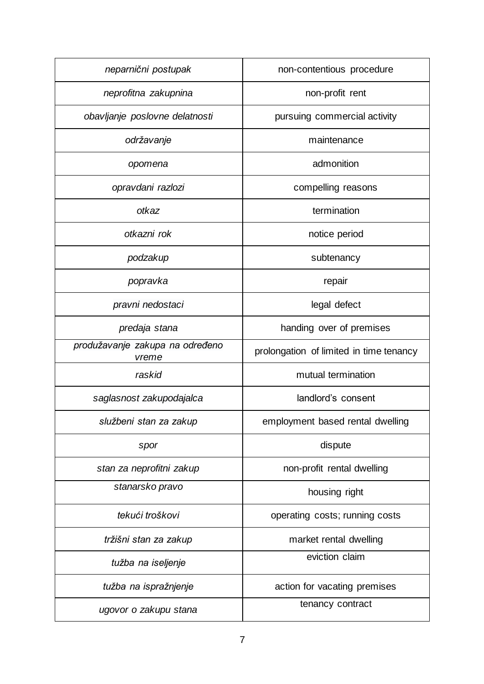| neparnični postupak                      | non-contentious procedure               |
|------------------------------------------|-----------------------------------------|
| neprofitna zakupnina                     | non-profit rent                         |
| obavljanje poslovne delatnosti           | pursuing commercial activity            |
| održavanje                               | maintenance                             |
| opomena                                  | admonition                              |
| opravdani razlozi                        | compelling reasons                      |
| otkaz                                    | termination                             |
| otkazni rok                              | notice period                           |
| podzakup                                 | subtenancy                              |
| popravka                                 | repair                                  |
| pravni nedostaci                         | legal defect                            |
| predaja stana                            | handing over of premises                |
| produžavanje zakupa na određeno<br>vreme | prolongation of limited in time tenancy |
| raskid                                   | mutual termination                      |
| saglasnost zakupodajalca                 | landlord's consent                      |
| službeni stan za zakup                   | employment based rental dwelling        |
| spor                                     | dispute                                 |
| stan za neprofitni zakup                 | non-profit rental dwelling              |
| stanarsko pravo                          | housing right                           |
| tekući troškovi                          | operating costs; running costs          |
| tržišni stan za zakup                    | market rental dwelling                  |
| tužba na iseljenje                       | eviction claim                          |
| tužba na ispražnjenje                    | action for vacating premises            |
| ugovor o zakupu stana                    | tenancy contract                        |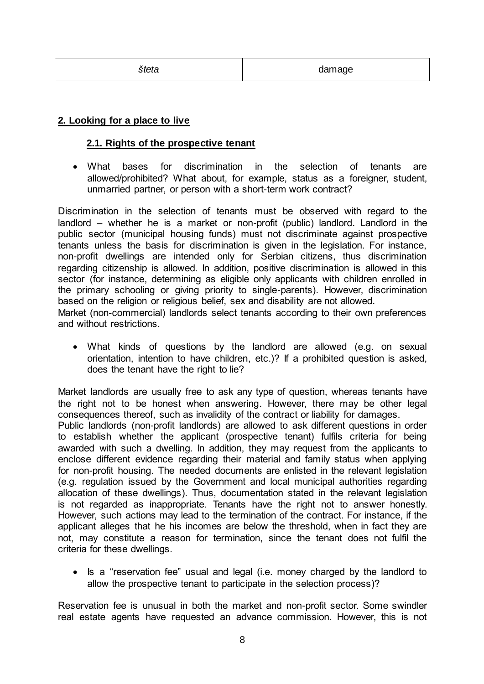# <span id="page-7-0"></span>**2. Looking for a place to live**

#### <span id="page-7-1"></span>**2.1. Rights of the prospective tenant**

 What bases for discrimination in the selection of tenants are allowed/prohibited? What about, for example, status as a foreigner, student, unmarried partner, or person with a short-term work contract?

Discrimination in the selection of tenants must be observed with regard to the landlord – whether he is a market or non-profit (public) landlord. Landlord in the public sector (municipal housing funds) must not discriminate against prospective tenants unless the basis for discrimination is given in the legislation. For instance, non-profit dwellings are intended only for Serbian citizens, thus discrimination regarding citizenship is allowed. In addition, positive discrimination is allowed in this sector (for instance, determining as eligible only applicants with children enrolled in the primary schooling or giving priority to single-parents). However, discrimination based on the religion or religious belief, sex and disability are not allowed. Market (non-commercial) landlords select tenants according to their own preferences and without restrictions.

 What kinds of questions by the landlord are allowed (e.g. on sexual orientation, intention to have children, etc.)? If a prohibited question is asked, does the tenant have the right to lie?

Market landlords are usually free to ask any type of question, whereas tenants have the right not to be honest when answering. However, there may be other legal consequences thereof, such as invalidity of the contract or liability for damages. Public landlords (non-profit landlords) are allowed to ask different questions in order to establish whether the applicant (prospective tenant) fulfils criteria for being awarded with such a dwelling. In addition, they may request from the applicants to enclose different evidence regarding their material and family status when applying for non-profit housing. The needed documents are enlisted in the relevant legislation (e.g. regulation issued by the Government and local municipal authorities regarding allocation of these dwellings). Thus, documentation stated in the relevant legislation is not regarded as inappropriate. Tenants have the right not to answer honestly. However, such actions may lead to the termination of the contract. For instance, if the applicant alleges that he his incomes are below the threshold, when in fact they are not, may constitute a reason for termination, since the tenant does not fulfil the criteria for these dwellings.

• Is a "reservation fee" usual and legal (i.e. money charged by the landlord to allow the prospective tenant to participate in the selection process)?

Reservation fee is unusual in both the market and non-profit sector. Some swindler real estate agents have requested an advance commission. However, this is not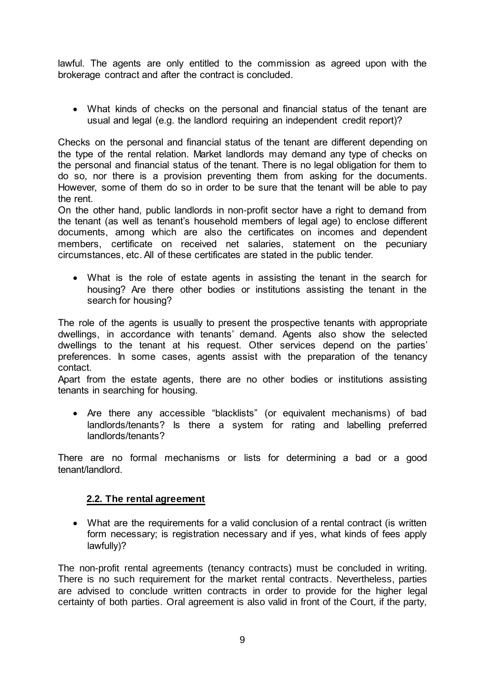lawful. The agents are only entitled to the commission as agreed upon with the brokerage contract and after the contract is concluded.

 What kinds of checks on the personal and financial status of the tenant are usual and legal (e.g. the landlord requiring an independent credit report)?

Checks on the personal and financial status of the tenant are different depending on the type of the rental relation. Market landlords may demand any type of checks on the personal and financial status of the tenant. There is no legal obligation for them to do so, nor there is a provision preventing them from asking for the documents. However, some of them do so in order to be sure that the tenant will be able to pay the rent.

On the other hand, public landlords in non-profit sector have a right to demand from the tenant (as well as tenant's household members of legal age) to enclose different documents, among which are also the certificates on incomes and dependent members, certificate on received net salaries, statement on the pecuniary circumstances, etc. All of these certificates are stated in the public tender.

 What is the role of estate agents in assisting the tenant in the search for housing? Are there other bodies or institutions assisting the tenant in the search for housing?

The role of the agents is usually to present the prospective tenants with appropriate dwellings, in accordance with tenants' demand. Agents also show the selected dwellings to the tenant at his request. Other services depend on the parties' preferences. In some cases, agents assist with the preparation of the tenancy contact.

Apart from the estate agents, there are no other bodies or institutions assisting tenants in searching for housing.

 Are there any accessible "blacklists" (or equivalent mechanisms) of bad landlords/tenants? Is there a system for rating and labelling preferred landlords/tenants?

There are no formal mechanisms or lists for determining a bad or a good tenant/landlord.

# <span id="page-8-0"></span>**2.2. The rental agreement**

 What are the requirements for a valid conclusion of a rental contract (is written form necessary; is registration necessary and if yes, what kinds of fees apply lawfully)?

The non-profit rental agreements (tenancy contracts) must be concluded in writing. There is no such requirement for the market rental contracts. Nevertheless, parties are advised to conclude written contracts in order to provide for the higher legal certainty of both parties. Oral agreement is also valid in front of the Court, if the party,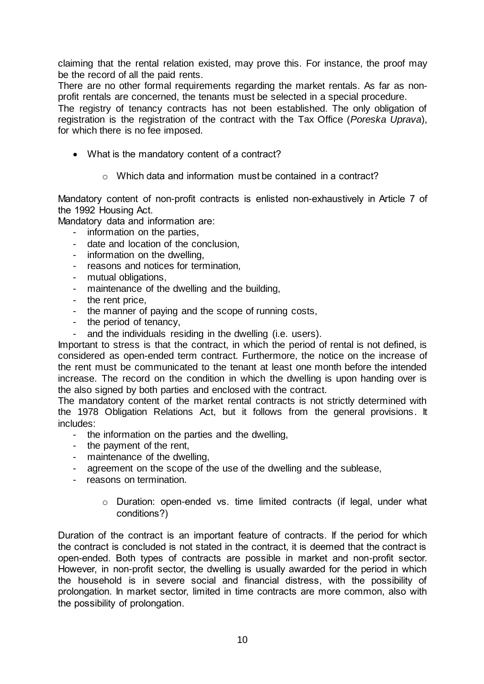claiming that the rental relation existed, may prove this. For instance, the proof may be the record of all the paid rents.

There are no other formal requirements regarding the market rentals. As far as nonprofit rentals are concerned, the tenants must be selected in a special procedure.

The registry of tenancy contracts has not been established. The only obligation of registration is the registration of the contract with the Tax Office (*Poreska Uprava*), for which there is no fee imposed.

- What is the mandatory content of a contract?
	- o Which data and information must be contained in a contract?

Mandatory content of non-profit contracts is enlisted non-exhaustively in Article 7 of the 1992 Housing Act.

Mandatory data and information are:

- information on the parties,
- date and location of the conclusion,
- information on the dwelling,
- reasons and notices for termination,
- mutual obligations,
- maintenance of the dwelling and the building,
- the rent price,
- the manner of paying and the scope of running costs,
- the period of tenancy,
- and the individuals residing in the dwelling (i.e. users).

Important to stress is that the contract, in which the period of rental is not defined, is considered as open-ended term contract. Furthermore, the notice on the increase of the rent must be communicated to the tenant at least one month before the intended increase. The record on the condition in which the dwelling is upon handing over is the also signed by both parties and enclosed with the contract.

The mandatory content of the market rental contracts is not strictly determined with the 1978 Obligation Relations Act, but it follows from the general provisions. It includes:

- the information on the parties and the dwelling,
- the payment of the rent,
- maintenance of the dwelling,
- agreement on the scope of the use of the dwelling and the sublease,
- reasons on termination.
	- o Duration: open-ended vs. time limited contracts (if legal, under what conditions?)

Duration of the contract is an important feature of contracts. If the period for which the contract is concluded is not stated in the contract, it is deemed that the contract is open-ended. Both types of contracts are possible in market and non-profit sector. However, in non-profit sector, the dwelling is usually awarded for the period in which the household is in severe social and financial distress, with the possibility of prolongation. In market sector, limited in time contracts are more common, also with the possibility of prolongation.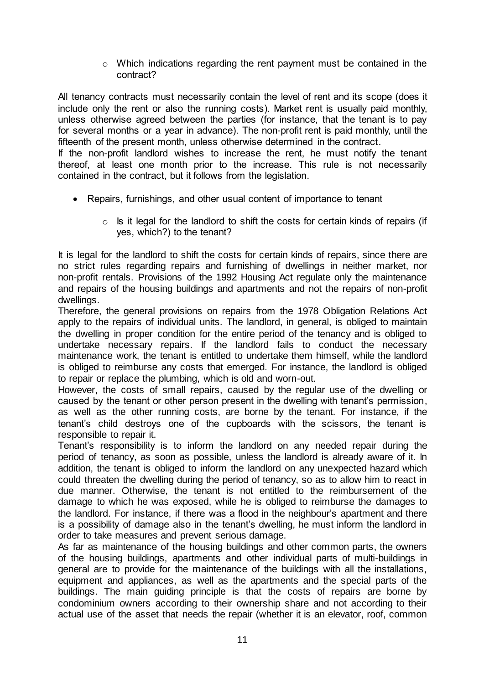o Which indications regarding the rent payment must be contained in the contract?

All tenancy contracts must necessarily contain the level of rent and its scope (does it include only the rent or also the running costs). Market rent is usually paid monthly, unless otherwise agreed between the parties (for instance, that the tenant is to pay for several months or a year in advance). The non-profit rent is paid monthly, until the fifteenth of the present month, unless otherwise determined in the contract.

If the non-profit landlord wishes to increase the rent, he must notify the tenant thereof, at least one month prior to the increase. This rule is not necessarily contained in the contract, but it follows from the legislation.

- Repairs, furnishings, and other usual content of importance to tenant
	- $\circ$  Is it legal for the landlord to shift the costs for certain kinds of repairs (if yes, which?) to the tenant?

It is legal for the landlord to shift the costs for certain kinds of repairs, since there are no strict rules regarding repairs and furnishing of dwellings in neither market, nor non-profit rentals. Provisions of the 1992 Housing Act regulate only the maintenance and repairs of the housing buildings and apartments and not the repairs of non-profit dwellings.

Therefore, the general provisions on repairs from the 1978 Obligation Relations Act apply to the repairs of individual units. The landlord, in general, is obliged to maintain the dwelling in proper condition for the entire period of the tenancy and is obliged to undertake necessary repairs. If the landlord fails to conduct the necessary maintenance work, the tenant is entitled to undertake them himself, while the landlord is obliged to reimburse any costs that emerged. For instance, the landlord is obliged to repair or replace the plumbing, which is old and worn-out.

However, the costs of small repairs, caused by the regular use of the dwelling or caused by the tenant or other person present in the dwelling with tenant's permission, as well as the other running costs, are borne by the tenant. For instance, if the tenant's child destroys one of the cupboards with the scissors, the tenant is responsible to repair it.

Tenant's responsibility is to inform the landlord on any needed repair during the period of tenancy, as soon as possible, unless the landlord is already aware of it. In addition, the tenant is obliged to inform the landlord on any unexpected hazard which could threaten the dwelling during the period of tenancy, so as to allow him to react in due manner. Otherwise, the tenant is not entitled to the reimbursement of the damage to which he was exposed, while he is obliged to reimburse the damages to the landlord. For instance, if there was a flood in the neighbour's apartment and there is a possibility of damage also in the tenant's dwelling, he must inform the landlord in order to take measures and prevent serious damage.

As far as maintenance of the housing buildings and other common parts, the owners of the housing buildings, apartments and other individual parts of multi-buildings in general are to provide for the maintenance of the buildings with all the installations, equipment and appliances, as well as the apartments and the special parts of the buildings. The main guiding principle is that the costs of repairs are borne by condominium owners according to their ownership share and not according to their actual use of the asset that needs the repair (whether it is an elevator, roof, common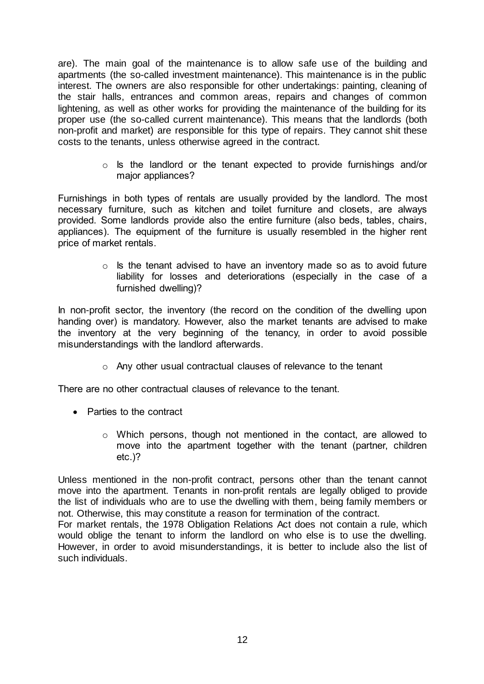are). The main goal of the maintenance is to allow safe use of the building and apartments (the so-called investment maintenance). This maintenance is in the public interest. The owners are also responsible for other undertakings: painting, cleaning of the stair halls, entrances and common areas, repairs and changes of common lightening, as well as other works for providing the maintenance of the building for its proper use (the so-called current maintenance). This means that the landlords (both non-profit and market) are responsible for this type of repairs. They cannot shit these costs to the tenants, unless otherwise agreed in the contract.

> o Is the landlord or the tenant expected to provide furnishings and/or major appliances?

Furnishings in both types of rentals are usually provided by the landlord. The most necessary furniture, such as kitchen and toilet furniture and closets, are always provided. Some landlords provide also the entire furniture (also beds, tables, chairs, appliances). The equipment of the furniture is usually resembled in the higher rent price of market rentals.

> $\circ$  Is the tenant advised to have an inventory made so as to avoid future liability for losses and deteriorations (especially in the case of a furnished dwelling)?

In non-profit sector, the inventory (the record on the condition of the dwelling upon handing over) is mandatory. However, also the market tenants are advised to make the inventory at the very beginning of the tenancy, in order to avoid possible misunderstandings with the landlord afterwards.

o Any other usual contractual clauses of relevance to the tenant

There are no other contractual clauses of relevance to the tenant.

- Parties to the contract
	- o Which persons, though not mentioned in the contact, are allowed to move into the apartment together with the tenant (partner, children etc.)?

Unless mentioned in the non-profit contract, persons other than the tenant cannot move into the apartment. Tenants in non-profit rentals are legally obliged to provide the list of individuals who are to use the dwelling with them, being family members or not. Otherwise, this may constitute a reason for termination of the contract.

For market rentals, the 1978 Obligation Relations Act does not contain a rule, which would oblige the tenant to inform the landlord on who else is to use the dwelling. However, in order to avoid misunderstandings, it is better to include also the list of such individuals.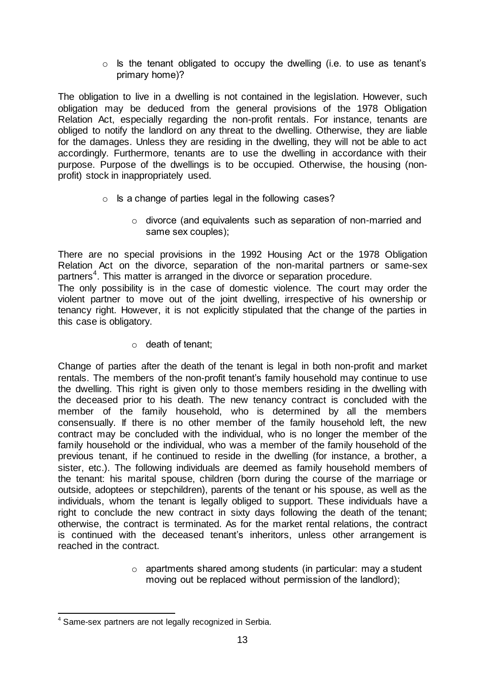o Is the tenant obligated to occupy the dwelling (i.e. to use as tenant's primary home)?

The obligation to live in a dwelling is not contained in the legislation. However, such obligation may be deduced from the general provisions of the 1978 Obligation Relation Act, especially regarding the non-profit rentals. For instance, tenants are obliged to notify the landlord on any threat to the dwelling. Otherwise, they are liable for the damages. Unless they are residing in the dwelling, they will not be able to act accordingly. Furthermore, tenants are to use the dwelling in accordance with their purpose. Purpose of the dwellings is to be occupied. Otherwise, the housing (nonprofit) stock in inappropriately used.

- o Is a change of parties legal in the following cases?
	- o divorce (and equivalents such as separation of non-married and same sex couples);

There are no special provisions in the 1992 Housing Act or the 1978 Obligation Relation Act on the divorce, separation of the non-marital partners or same-sex partners<sup>4</sup>. This matter is arranged in the divorce or separation procedure.

The only possibility is in the case of domestic violence. The court may order the violent partner to move out of the joint dwelling, irrespective of his ownership or tenancy right. However, it is not explicitly stipulated that the change of the parties in this case is obligatory.

o death of tenant;

Change of parties after the death of the tenant is legal in both non-profit and market rentals. The members of the non-profit tenant's family household may continue to use the dwelling. This right is given only to those members residing in the dwelling with the deceased prior to his death. The new tenancy contract is concluded with the member of the family household, who is determined by all the members consensually. If there is no other member of the family household left, the new contract may be concluded with the individual, who is no longer the member of the family household or the individual, who was a member of the family household of the previous tenant, if he continued to reside in the dwelling (for instance, a brother, a sister, etc.). The following individuals are deemed as family household members of the tenant: his marital spouse, children (born during the course of the marriage or outside, adoptees or stepchildren), parents of the tenant or his spouse, as well as the individuals, whom the tenant is legally obliged to support. These individuals have a right to conclude the new contract in sixty days following the death of the tenant; otherwise, the contract is terminated. As for the market rental relations, the contract is continued with the deceased tenant's inheritors, unless other arrangement is reached in the contract.

> o apartments shared among students (in particular: may a student moving out be replaced without permission of the landlord);

<sup>-</sup><sup>4</sup> Same-sex partners are not legally recognized in Serbia.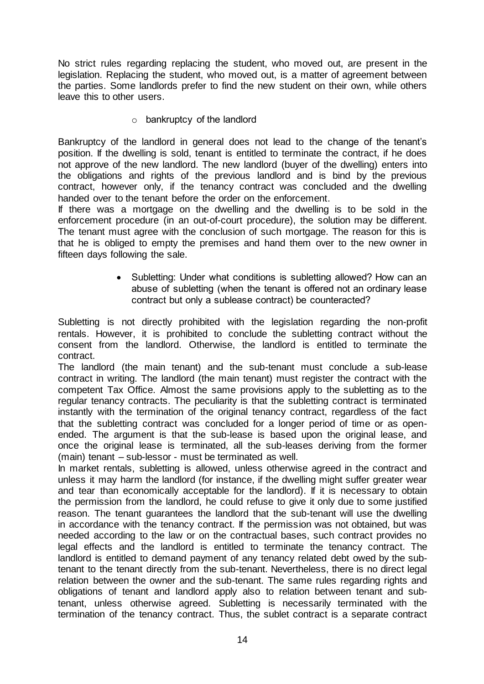No strict rules regarding replacing the student, who moved out, are present in the legislation. Replacing the student, who moved out, is a matter of agreement between the parties. Some landlords prefer to find the new student on their own, while others leave this to other users.

o bankruptcy of the landlord

Bankruptcy of the landlord in general does not lead to the change of the tenant's position. If the dwelling is sold, tenant is entitled to terminate the contract, if he does not approve of the new landlord. The new landlord (buyer of the dwelling) enters into the obligations and rights of the previous landlord and is bind by the previous contract, however only, if the tenancy contract was concluded and the dwelling handed over to the tenant before the order on the enforcement.

If there was a mortgage on the dwelling and the dwelling is to be sold in the enforcement procedure (in an out-of-court procedure), the solution may be different. The tenant must agree with the conclusion of such mortgage. The reason for this is that he is obliged to empty the premises and hand them over to the new owner in fifteen days following the sale.

> • Subletting: Under what conditions is subletting allowed? How can an abuse of subletting (when the tenant is offered not an ordinary lease contract but only a sublease contract) be counteracted?

Subletting is not directly prohibited with the legislation regarding the non-profit rentals. However, it is prohibited to conclude the subletting contract without the consent from the landlord. Otherwise, the landlord is entitled to terminate the contract.

The landlord (the main tenant) and the sub-tenant must conclude a sub-lease contract in writing. The landlord (the main tenant) must register the contract with the competent Tax Office. Almost the same provisions apply to the subletting as to the regular tenancy contracts. The peculiarity is that the subletting contract is terminated instantly with the termination of the original tenancy contract, regardless of the fact that the subletting contract was concluded for a longer period of time or as openended. The argument is that the sub-lease is based upon the original lease, and once the original lease is terminated, all the sub-leases deriving from the former (main) tenant – sub-lessor - must be terminated as well.

In market rentals, subletting is allowed, unless otherwise agreed in the contract and unless it may harm the landlord (for instance, if the dwelling might suffer greater wear and tear than economically acceptable for the landlord). If it is necessary to obtain the permission from the landlord, he could refuse to give it only due to some justified reason. The tenant guarantees the landlord that the sub-tenant will use the dwelling in accordance with the tenancy contract. If the permission was not obtained, but was needed according to the law or on the contractual bases, such contract provides no legal effects and the landlord is entitled to terminate the tenancy contract. The landlord is entitled to demand payment of any tenancy related debt owed by the subtenant to the tenant directly from the sub-tenant. Nevertheless, there is no direct legal relation between the owner and the sub-tenant. The same rules regarding rights and obligations of tenant and landlord apply also to relation between tenant and subtenant, unless otherwise agreed. Subletting is necessarily terminated with the termination of the tenancy contract. Thus, the sublet contract is a separate contract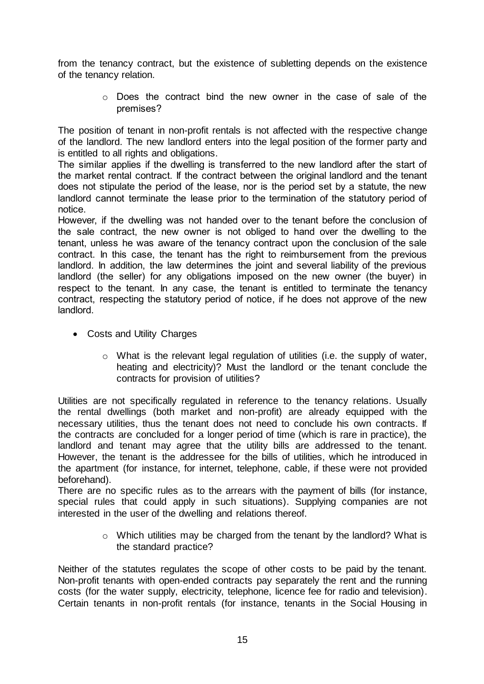from the tenancy contract, but the existence of subletting depends on the existence of the tenancy relation.

> $\circ$  Does the contract bind the new owner in the case of sale of the premises?

The position of tenant in non-profit rentals is not affected with the respective change of the landlord. The new landlord enters into the legal position of the former party and is entitled to all rights and obligations.

The similar applies if the dwelling is transferred to the new landlord after the start of the market rental contract. If the contract between the original landlord and the tenant does not stipulate the period of the lease, nor is the period set by a statute, the new landlord cannot terminate the lease prior to the termination of the statutory period of notice.

However, if the dwelling was not handed over to the tenant before the conclusion of the sale contract, the new owner is not obliged to hand over the dwelling to the tenant, unless he was aware of the tenancy contract upon the conclusion of the sale contract. In this case, the tenant has the right to reimbursement from the previous landlord. In addition, the law determines the joint and several liability of the previous landlord (the seller) for any obligations imposed on the new owner (the buyer) in respect to the tenant. In any case, the tenant is entitled to terminate the tenancy contract, respecting the statutory period of notice, if he does not approve of the new landlord.

- Costs and Utility Charges
	- o What is the relevant legal regulation of utilities (i.e. the supply of water, heating and electricity)? Must the landlord or the tenant conclude the contracts for provision of utilities?

Utilities are not specifically regulated in reference to the tenancy relations. Usually the rental dwellings (both market and non-profit) are already equipped with the necessary utilities, thus the tenant does not need to conclude his own contracts. If the contracts are concluded for a longer period of time (which is rare in practice), the landlord and tenant may agree that the utility bills are addressed to the tenant. However, the tenant is the addressee for the bills of utilities, which he introduced in the apartment (for instance, for internet, telephone, cable, if these were not provided beforehand).

There are no specific rules as to the arrears with the payment of bills (for instance, special rules that could apply in such situations). Supplying companies are not interested in the user of the dwelling and relations thereof.

> o Which utilities may be charged from the tenant by the landlord? What is the standard practice?

Neither of the statutes regulates the scope of other costs to be paid by the tenant. Non-profit tenants with open-ended contracts pay separately the rent and the running costs (for the water supply, electricity, telephone, licence fee for radio and television). Certain tenants in non-profit rentals (for instance, tenants in the Social Housing in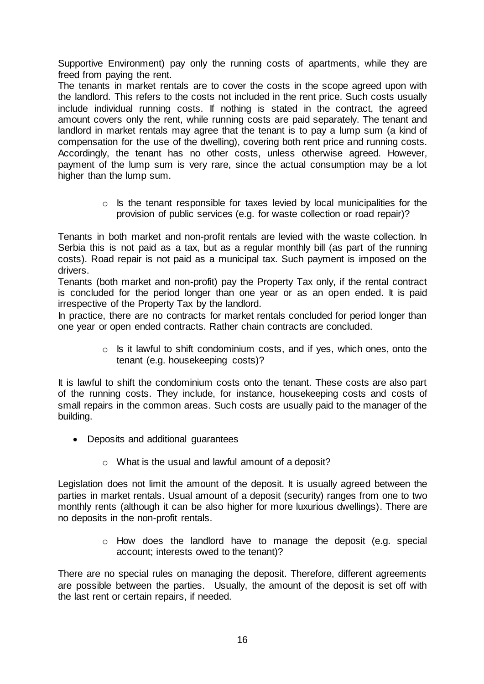Supportive Environment) pay only the running costs of apartments, while they are freed from paying the rent.

The tenants in market rentals are to cover the costs in the scope agreed upon with the landlord. This refers to the costs not included in the rent price. Such costs usually include individual running costs. If nothing is stated in the contract, the agreed amount covers only the rent, while running costs are paid separately. The tenant and landlord in market rentals may agree that the tenant is to pay a lump sum (a kind of compensation for the use of the dwelling), covering both rent price and running costs. Accordingly, the tenant has no other costs, unless otherwise agreed. However, payment of the lump sum is very rare, since the actual consumption may be a lot higher than the lump sum.

> o Is the tenant responsible for taxes levied by local municipalities for the provision of public services (e.g. for waste collection or road repair)?

Tenants in both market and non-profit rentals are levied with the waste collection. In Serbia this is not paid as a tax, but as a regular monthly bill (as part of the running costs). Road repair is not paid as a municipal tax. Such payment is imposed on the drivers.

Tenants (both market and non-profit) pay the Property Tax only, if the rental contract is concluded for the period longer than one year or as an open ended. It is paid irrespective of the Property Tax by the landlord.

In practice, there are no contracts for market rentals concluded for period longer than one year or open ended contracts. Rather chain contracts are concluded.

> o Is it lawful to shift condominium costs, and if yes, which ones, onto the tenant (e.g. housekeeping costs)?

It is lawful to shift the condominium costs onto the tenant. These costs are also part of the running costs. They include, for instance, housekeeping costs and costs of small repairs in the common areas. Such costs are usually paid to the manager of the building.

- Deposits and additional guarantees
	- o What is the usual and lawful amount of a deposit?

Legislation does not limit the amount of the deposit. It is usually agreed between the parties in market rentals. Usual amount of a deposit (security) ranges from one to two monthly rents (although it can be also higher for more luxurious dwellings). There are no deposits in the non-profit rentals.

> o How does the landlord have to manage the deposit (e.g. special account; interests owed to the tenant)?

There are no special rules on managing the deposit. Therefore, different agreements are possible between the parties. Usually, the amount of the deposit is set off with the last rent or certain repairs, if needed.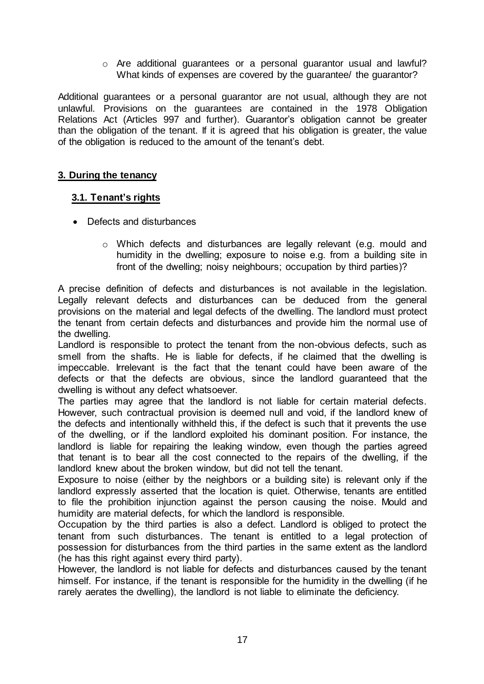$\circ$  Are additional quarantees or a personal quarantor usual and lawful? What kinds of expenses are covered by the guarantee/ the guarantor?

Additional guarantees or a personal guarantor are not usual, although they are not unlawful. Provisions on the guarantees are contained in the 1978 Obligation Relations Act (Articles 997 and further). Guarantor's obligation cannot be greater than the obligation of the tenant. If it is agreed that his obligation is greater, the value of the obligation is reduced to the amount of the tenant's debt.

#### <span id="page-16-0"></span>**3. During the tenancy**

#### <span id="page-16-1"></span> **3.1. Tenant's rights**

- Defects and disturbances
	- o Which defects and disturbances are legally relevant (e.g. mould and humidity in the dwelling; exposure to noise e.g. from a building site in front of the dwelling; noisy neighbours; occupation by third parties)?

A precise definition of defects and disturbances is not available in the legislation. Legally relevant defects and disturbances can be deduced from the general provisions on the material and legal defects of the dwelling. The landlord must protect the tenant from certain defects and disturbances and provide him the normal use of the dwelling.

Landlord is responsible to protect the tenant from the non-obvious defects, such as smell from the shafts. He is liable for defects, if he claimed that the dwelling is impeccable. Irrelevant is the fact that the tenant could have been aware of the defects or that the defects are obvious, since the landlord guaranteed that the dwelling is without any defect whatsoever.

The parties may agree that the landlord is not liable for certain material defects. However, such contractual provision is deemed null and void, if the landlord knew of the defects and intentionally withheld this, if the defect is such that it prevents the use of the dwelling, or if the landlord exploited his dominant position. For instance, the landlord is liable for repairing the leaking window, even though the parties agreed that tenant is to bear all the cost connected to the repairs of the dwelling, if the landlord knew about the broken window, but did not tell the tenant.

Exposure to noise (either by the neighbors or a building site) is relevant only if the landlord expressly asserted that the location is quiet. Otherwise, tenants are entitled to file the prohibition injunction against the person causing the noise. Mould and humidity are material defects, for which the landlord is responsible.

Occupation by the third parties is also a defect. Landlord is obliged to protect the tenant from such disturbances. The tenant is entitled to a legal protection of possession for disturbances from the third parties in the same extent as the landlord (he has this right against every third party).

However, the landlord is not liable for defects and disturbances caused by the tenant himself. For instance, if the tenant is responsible for the humidity in the dwelling (if he rarely aerates the dwelling), the landlord is not liable to eliminate the deficiency.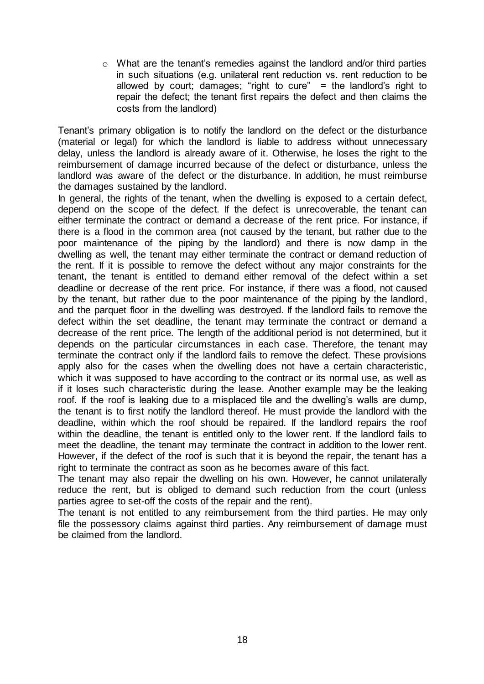o What are the tenant's remedies against the landlord and/or third parties in such situations (e.g. unilateral rent reduction vs. rent reduction to be allowed by court; damages; "right to cure" = the landlord's right to repair the defect; the tenant first repairs the defect and then claims the costs from the landlord)

Tenant's primary obligation is to notify the landlord on the defect or the disturbance (material or legal) for which the landlord is liable to address without unnecessary delay, unless the landlord is already aware of it. Otherwise, he loses the right to the reimbursement of damage incurred because of the defect or disturbance, unless the landlord was aware of the defect or the disturbance. In addition, he must reimburse the damages sustained by the landlord.

In general, the rights of the tenant, when the dwelling is exposed to a certain defect, depend on the scope of the defect. If the defect is unrecoverable, the tenant can either terminate the contract or demand a decrease of the rent price. For instance, if there is a flood in the common area (not caused by the tenant, but rather due to the poor maintenance of the piping by the landlord) and there is now damp in the dwelling as well, the tenant may either terminate the contract or demand reduction of the rent. If it is possible to remove the defect without any major constraints for the tenant, the tenant is entitled to demand either removal of the defect within a set deadline or decrease of the rent price. For instance, if there was a flood, not caused by the tenant, but rather due to the poor maintenance of the piping by the landlord, and the parquet floor in the dwelling was destroyed. If the landlord fails to remove the defect within the set deadline, the tenant may terminate the contract or demand a decrease of the rent price. The length of the additional period is not determined, but it depends on the particular circumstances in each case. Therefore, the tenant may terminate the contract only if the landlord fails to remove the defect. These provisions apply also for the cases when the dwelling does not have a certain characteristic, which it was supposed to have according to the contract or its normal use, as well as if it loses such characteristic during the lease. Another example may be the leaking roof. If the roof is leaking due to a misplaced tile and the dwelling's walls are dump, the tenant is to first notify the landlord thereof. He must provide the landlord with the deadline, within which the roof should be repaired. If the landlord repairs the roof within the deadline, the tenant is entitled only to the lower rent. If the landlord fails to meet the deadline, the tenant may terminate the contract in addition to the lower rent. However, if the defect of the roof is such that it is beyond the repair, the tenant has a right to terminate the contract as soon as he becomes aware of this fact.

The tenant may also repair the dwelling on his own. However, he cannot unilaterally reduce the rent, but is obliged to demand such reduction from the court (unless parties agree to set-off the costs of the repair and the rent).

The tenant is not entitled to any reimbursement from the third parties. He may only file the possessory claims against third parties. Any reimbursement of damage must be claimed from the landlord.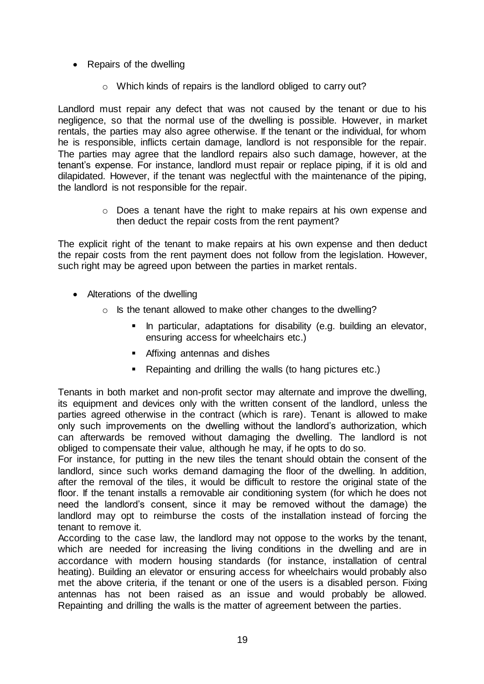- Repairs of the dwelling
	- o Which kinds of repairs is the landlord obliged to carry out?

Landlord must repair any defect that was not caused by the tenant or due to his negligence, so that the normal use of the dwelling is possible. However, in market rentals, the parties may also agree otherwise. If the tenant or the individual, for whom he is responsible, inflicts certain damage, landlord is not responsible for the repair. The parties may agree that the landlord repairs also such damage, however, at the tenant's expense. For instance, landlord must repair or replace piping, if it is old and dilapidated. However, if the tenant was neglectful with the maintenance of the piping, the landlord is not responsible for the repair.

> $\circ$  Does a tenant have the right to make repairs at his own expense and then deduct the repair costs from the rent payment?

The explicit right of the tenant to make repairs at his own expense and then deduct the repair costs from the rent payment does not follow from the legislation. However, such right may be agreed upon between the parties in market rentals.

- Alterations of the dwelling
	- o Is the tenant allowed to make other changes to the dwelling?
		- In particular, adaptations for disability (e.g. building an elevator, ensuring access for wheelchairs etc.)
		- **EXECUTE:** Affixing antennas and dishes
		- Repainting and drilling the walls (to hang pictures etc.)

Tenants in both market and non-profit sector may alternate and improve the dwelling, its equipment and devices only with the written consent of the landlord, unless the parties agreed otherwise in the contract (which is rare). Tenant is allowed to make only such improvements on the dwelling without the landlord's authorization, which can afterwards be removed without damaging the dwelling. The landlord is not obliged to compensate their value, although he may, if he opts to do so.

For instance, for putting in the new tiles the tenant should obtain the consent of the landlord, since such works demand damaging the floor of the dwelling. In addition, after the removal of the tiles, it would be difficult to restore the original state of the floor. If the tenant installs a removable air conditioning system (for which he does not need the landlord's consent, since it may be removed without the damage) the landlord may opt to reimburse the costs of the installation instead of forcing the tenant to remove it.

According to the case law, the landlord may not oppose to the works by the tenant, which are needed for increasing the living conditions in the dwelling and are in accordance with modern housing standards (for instance, installation of central heating). Building an elevator or ensuring access for wheelchairs would probably also met the above criteria, if the tenant or one of the users is a disabled person. Fixing antennas has not been raised as an issue and would probably be allowed. Repainting and drilling the walls is the matter of agreement between the parties.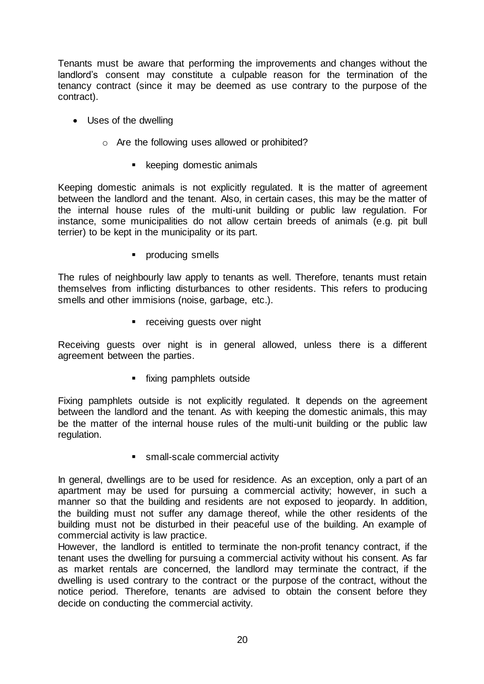Tenants must be aware that performing the improvements and changes without the landlord's consent may constitute a culpable reason for the termination of the tenancy contract (since it may be deemed as use contrary to the purpose of the contract).

- Uses of the dwelling
	- o Are the following uses allowed or prohibited?
		- **EXEC** keeping domestic animals

Keeping domestic animals is not explicitly regulated. It is the matter of agreement between the landlord and the tenant. Also, in certain cases, this may be the matter of the internal house rules of the multi-unit building or public law regulation. For instance, some municipalities do not allow certain breeds of animals (e.g. pit bull terrier) to be kept in the municipality or its part.

**•** producing smells

The rules of neighbourly law apply to tenants as well. Therefore, tenants must retain themselves from inflicting disturbances to other residents. This refers to producing smells and other immisions (noise, garbage, etc.).

**•** receiving guests over night

Receiving guests over night is in general allowed, unless there is a different agreement between the parties.

**fixing pamphlets outside** 

Fixing pamphlets outside is not explicitly regulated. It depends on the agreement between the landlord and the tenant. As with keeping the domestic animals, this may be the matter of the internal house rules of the multi-unit building or the public law regulation.

**small-scale commercial activity** 

In general, dwellings are to be used for residence. As an exception, only a part of an apartment may be used for pursuing a commercial activity; however, in such a manner so that the building and residents are not exposed to jeopardy. In addition, the building must not suffer any damage thereof, while the other residents of the building must not be disturbed in their peaceful use of the building. An example of commercial activity is law practice.

However, the landlord is entitled to terminate the non-profit tenancy contract, if the tenant uses the dwelling for pursuing a commercial activity without his consent. As far as market rentals are concerned, the landlord may terminate the contract, if the dwelling is used contrary to the contract or the purpose of the contract, without the notice period. Therefore, tenants are advised to obtain the consent before they decide on conducting the commercial activity.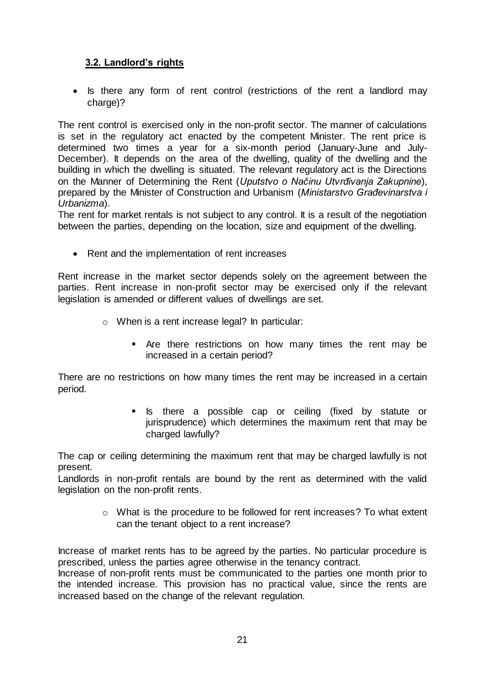# <span id="page-20-0"></span>**3.2. Landlord's rights**

• Is there any form of rent control (restrictions of the rent a landlord may charge)?

The rent control is exercised only in the non-profit sector. The manner of calculations is set in the regulatory act enacted by the competent Minister. The rent price is determined two times a year for a six-month period (January-June and July-December). It depends on the area of the dwelling, quality of the dwelling and the building in which the dwelling is situated. The relevant regulatory act is the Directions on the Manner of Determining the Rent (*Uputstvo o Načinu Utvrđivanja Zakupnine*), prepared by the Minister of Construction and Urbanism (*Ministarstvo Građevinarstva i Urbanizma*).

The rent for market rentals is not subject to any control. It is a result of the negotiation between the parties, depending on the location, size and equipment of the dwelling.

• Rent and the implementation of rent increases

Rent increase in the market sector depends solely on the agreement between the parties. Rent increase in non-profit sector may be exercised only if the relevant legislation is amended or different values of dwellings are set.

- o When is a rent increase legal? In particular:
	- Are there restrictions on how many times the rent may be increased in a certain period?

There are no restrictions on how many times the rent may be increased in a certain period.

> **Is** there a possible cap or ceiling (fixed by statute or jurisprudence) which determines the maximum rent that may be charged lawfully?

The cap or ceiling determining the maximum rent that may be charged lawfully is not present.

Landlords in non-profit rentals are bound by the rent as determined with the valid legislation on the non-profit rents.

> o What is the procedure to be followed for rent increases? To what extent can the tenant object to a rent increase?

Increase of market rents has to be agreed by the parties. No particular procedure is prescribed, unless the parties agree otherwise in the tenancy contract.

Increase of non-profit rents must be communicated to the parties one month prior to the intended increase. This provision has no practical value, since the rents are increased based on the change of the relevant regulation.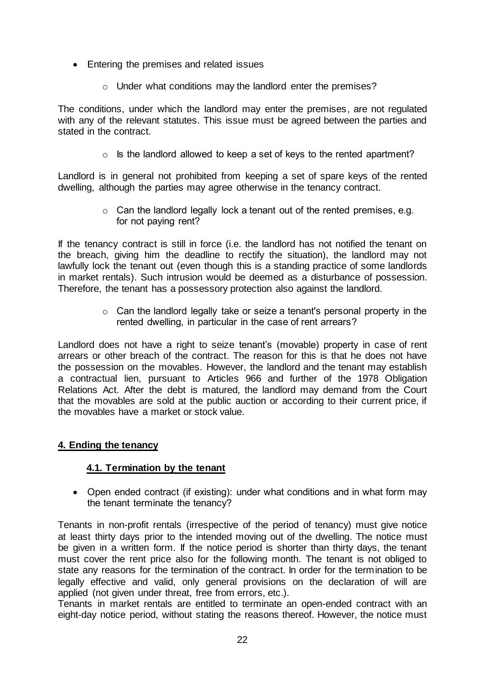- Entering the premises and related issues
	- o Under what conditions may the landlord enter the premises?

The conditions, under which the landlord may enter the premises, are not regulated with any of the relevant statutes. This issue must be agreed between the parties and stated in the contract.

 $\circ$  Is the landlord allowed to keep a set of keys to the rented apartment?

Landlord is in general not prohibited from keeping a set of spare keys of the rented dwelling, although the parties may agree otherwise in the tenancy contract.

> $\circ$  Can the landlord legally lock a tenant out of the rented premises, e.g. for not paying rent?

If the tenancy contract is still in force (i.e. the landlord has not notified the tenant on the breach, giving him the deadline to rectify the situation), the landlord may not lawfully lock the tenant out (even though this is a standing practice of some landlords in market rentals). Such intrusion would be deemed as a disturbance of possession. Therefore, the tenant has a possessory protection also against the landlord.

> o Can the landlord legally take or seize a tenant's personal property in the rented dwelling, in particular in the case of rent arrears?

Landlord does not have a right to seize tenant's (movable) property in case of rent arrears or other breach of the contract. The reason for this is that he does not have the possession on the movables. However, the landlord and the tenant may establish a contractual lien, pursuant to Articles 966 and further of the 1978 Obligation Relations Act. After the debt is matured, the landlord may demand from the Court that the movables are sold at the public auction or according to their current price, if the movables have a market or stock value.

# <span id="page-21-0"></span>**4. Ending the tenancy**

# <span id="page-21-1"></span>**4.1. Termination by the tenant**

• Open ended contract (if existing): under what conditions and in what form may the tenant terminate the tenancy?

Tenants in non-profit rentals (irrespective of the period of tenancy) must give notice at least thirty days prior to the intended moving out of the dwelling. The notice must be given in a written form. If the notice period is shorter than thirty days, the tenant must cover the rent price also for the following month. The tenant is not obliged to state any reasons for the termination of the contract. In order for the termination to be legally effective and valid, only general provisions on the declaration of will are applied (not given under threat, free from errors, etc.).

Tenants in market rentals are entitled to terminate an open-ended contract with an eight-day notice period, without stating the reasons thereof. However, the notice must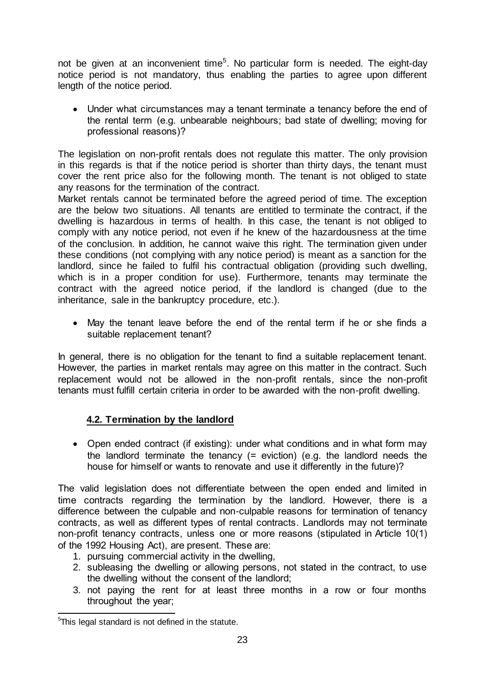not be given at an inconvenient time<sup>5</sup>. No particular form is needed. The eight-day notice period is not mandatory, thus enabling the parties to agree upon different length of the notice period.

 Under what circumstances may a tenant terminate a tenancy before the end of the rental term (e.g. unbearable neighbours; bad state of dwelling; moving for professional reasons)?

The legislation on non-profit rentals does not regulate this matter. The only provision in this regards is that if the notice period is shorter than thirty days, the tenant must cover the rent price also for the following month. The tenant is not obliged to state any reasons for the termination of the contract.

Market rentals cannot be terminated before the agreed period of time. The exception are the below two situations. All tenants are entitled to terminate the contract, if the dwelling is hazardous in terms of health. In this case, the tenant is not obliged to comply with any notice period, not even if he knew of the hazardousness at the time of the conclusion. In addition, he cannot waive this right. The termination given under these conditions (not complying with any notice period) is meant as a sanction for the landlord, since he failed to fulfil his contractual obligation (providing such dwelling, which is in a proper condition for use). Furthermore, tenants may terminate the contract with the agreed notice period, if the landlord is changed (due to the inheritance, sale in the bankruptcy procedure, etc.).

 May the tenant leave before the end of the rental term if he or she finds a suitable replacement tenant?

In general, there is no obligation for the tenant to find a suitable replacement tenant. However, the parties in market rentals may agree on this matter in the contract. Such replacement would not be allowed in the non-profit rentals, since the non-profit tenants must fulfill certain criteria in order to be awarded with the non-profit dwelling.

# <span id="page-22-0"></span>**4.2. Termination by the landlord**

• Open ended contract (if existing): under what conditions and in what form may the landlord terminate the tenancy (= eviction) (e.g. the landlord needs the house for himself or wants to renovate and use it differently in the future)?

The valid legislation does not differentiate between the open ended and limited in time contracts regarding the termination by the landlord. However, there is a difference between the culpable and non-culpable reasons for termination of tenancy contracts, as well as different types of rental contracts. Landlords may not terminate non-profit tenancy contracts, unless one or more reasons (stipulated in Article 10(1) of the 1992 Housing Act), are present. These are:

- 1. pursuing commercial activity in the dwelling,
- 2. subleasing the dwelling or allowing persons, not stated in the contract, to use the dwelling without the consent of the landlord;
- 3. not paying the rent for at least three months in a row or four months throughout the year;

 5 This legal standard is not defined in the statute.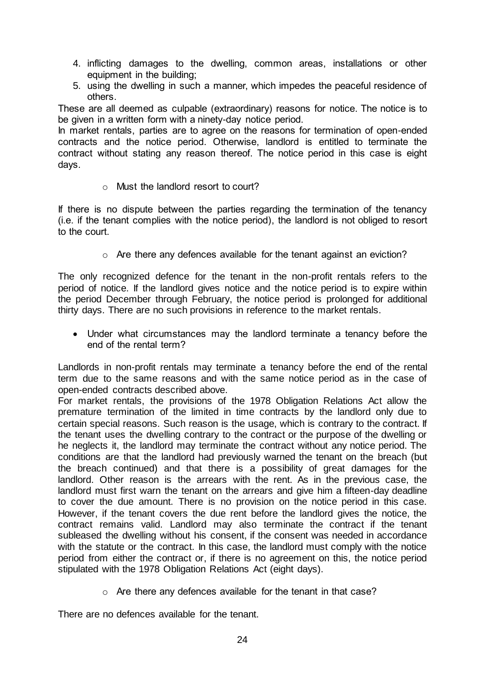- 4. inflicting damages to the dwelling, common areas, installations or other equipment in the building;
- 5. using the dwelling in such a manner, which impedes the peaceful residence of others.

These are all deemed as culpable (extraordinary) reasons for notice. The notice is to be given in a written form with a ninety-day notice period.

In market rentals, parties are to agree on the reasons for termination of open-ended contracts and the notice period. Otherwise, landlord is entitled to terminate the contract without stating any reason thereof. The notice period in this case is eight days.

o Must the landlord resort to court?

If there is no dispute between the parties regarding the termination of the tenancy (i.e. if the tenant complies with the notice period), the landlord is not obliged to resort to the court.

o Are there any defences available for the tenant against an eviction?

The only recognized defence for the tenant in the non-profit rentals refers to the period of notice. If the landlord gives notice and the notice period is to expire within the period December through February, the notice period is prolonged for additional thirty days. There are no such provisions in reference to the market rentals.

 Under what circumstances may the landlord terminate a tenancy before the end of the rental term?

Landlords in non-profit rentals may terminate a tenancy before the end of the rental term due to the same reasons and with the same notice period as in the case of open-ended contracts described above.

For market rentals, the provisions of the 1978 Obligation Relations Act allow the premature termination of the limited in time contracts by the landlord only due to certain special reasons. Such reason is the usage, which is contrary to the contract. If the tenant uses the dwelling contrary to the contract or the purpose of the dwelling or he neglects it, the landlord may terminate the contract without any notice period. The conditions are that the landlord had previously warned the tenant on the breach (but the breach continued) and that there is a possibility of great damages for the landlord. Other reason is the arrears with the rent. As in the previous case, the landlord must first warn the tenant on the arrears and give him a fifteen-day deadline to cover the due amount. There is no provision on the notice period in this case. However, if the tenant covers the due rent before the landlord gives the notice, the contract remains valid. Landlord may also terminate the contract if the tenant subleased the dwelling without his consent, if the consent was needed in accordance with the statute or the contract. In this case, the landlord must comply with the notice period from either the contract or, if there is no agreement on this, the notice period stipulated with the 1978 Obligation Relations Act (eight days).

o Are there any defences available for the tenant in that case?

There are no defences available for the tenant.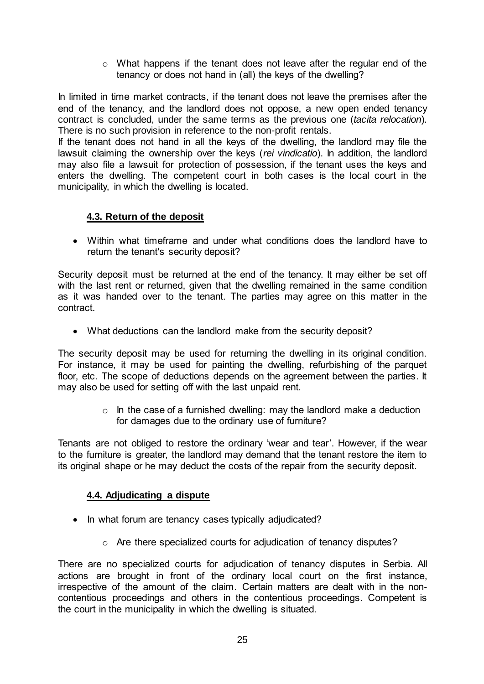$\circ$  What happens if the tenant does not leave after the regular end of the tenancy or does not hand in (all) the keys of the dwelling?

In limited in time market contracts, if the tenant does not leave the premises after the end of the tenancy, and the landlord does not oppose, a new open ended tenancy contract is concluded, under the same terms as the previous one (*tacita relocation*)*.*  There is no such provision in reference to the non-profit rentals.

If the tenant does not hand in all the keys of the dwelling, the landlord may file the lawsuit claiming the ownership over the keys (*rei vindicatio*). In addition, the landlord may also file a lawsuit for protection of possession, if the tenant uses the keys and enters the dwelling. The competent court in both cases is the local court in the municipality, in which the dwelling is located.

# <span id="page-24-0"></span>**4.3. Return of the deposit**

 Within what timeframe and under what conditions does the landlord have to return the tenant's security deposit?

Security deposit must be returned at the end of the tenancy. It may either be set off with the last rent or returned, given that the dwelling remained in the same condition as it was handed over to the tenant. The parties may agree on this matter in the contract.

What deductions can the landlord make from the security deposit?

The security deposit may be used for returning the dwelling in its original condition. For instance, it may be used for painting the dwelling, refurbishing of the parquet floor, etc. The scope of deductions depends on the agreement between the parties. It may also be used for setting off with the last unpaid rent.

> $\circ$  In the case of a furnished dwelling: may the landlord make a deduction for damages due to the ordinary use of furniture?

Tenants are not obliged to restore the ordinary 'wear and tear'. However, if the wear to the furniture is greater, the landlord may demand that the tenant restore the item to its original shape or he may deduct the costs of the repair from the security deposit.

# <span id="page-24-1"></span>**4.4. Adjudicating a dispute**

- In what forum are tenancy cases typically adjudicated?
	- o Are there specialized courts for adjudication of tenancy disputes?

There are no specialized courts for adjudication of tenancy disputes in Serbia. All actions are brought in front of the ordinary local court on the first instance, irrespective of the amount of the claim. Certain matters are dealt with in the noncontentious proceedings and others in the contentious proceedings. Competent is the court in the municipality in which the dwelling is situated.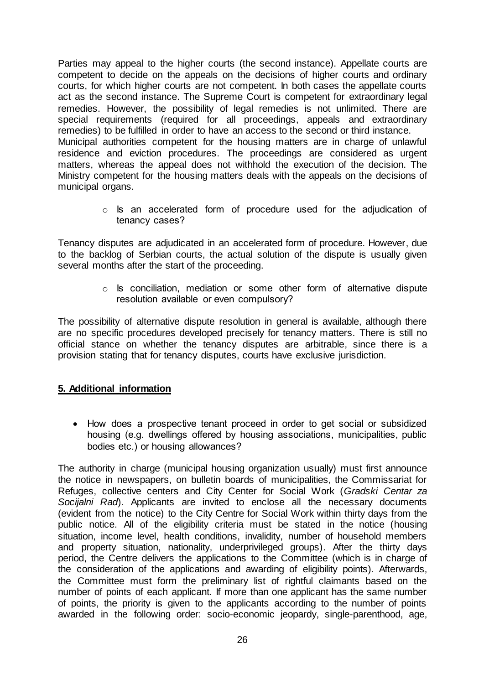Parties may appeal to the higher courts (the second instance). Appellate courts are competent to decide on the appeals on the decisions of higher courts and ordinary courts, for which higher courts are not competent. In both cases the appellate courts act as the second instance. The Supreme Court is competent for extraordinary legal remedies. However, the possibility of legal remedies is not unlimited. There are special requirements (required for all proceedings, appeals and extraordinary remedies) to be fulfilled in order to have an access to the second or third instance. Municipal authorities competent for the housing matters are in charge of unlawful residence and eviction procedures. The proceedings are considered as urgent matters, whereas the appeal does not withhold the execution of the decision. The Ministry competent for the housing matters deals with the appeals on the decisions of municipal organs.

> o Is an accelerated form of procedure used for the adjudication of tenancy cases?

Tenancy disputes are adjudicated in an accelerated form of procedure. However, due to the backlog of Serbian courts, the actual solution of the dispute is usually given several months after the start of the proceeding.

> o Is conciliation, mediation or some other form of alternative dispute resolution available or even compulsory?

The possibility of alternative dispute resolution in general is available, although there are no specific procedures developed precisely for tenancy matters. There is still no official stance on whether the tenancy disputes are arbitrable, since there is a provision stating that for tenancy disputes, courts have exclusive jurisdiction.

# <span id="page-25-0"></span>**5. Additional information**

• How does a prospective tenant proceed in order to get social or subsidized housing (e.g. dwellings offered by housing associations, municipalities, public bodies etc.) or housing allowances?

The authority in charge (municipal housing organization usually) must first announce the notice in newspapers, on bulletin boards of municipalities, the Commissariat for Refuges, collective centers and City Center for Social Work (*Gradski Centar za Socijalni Rad*). Applicants are invited to enclose all the necessary documents (evident from the notice) to the City Centre for Social Work within thirty days from the public notice. All of the eligibility criteria must be stated in the notice (housing situation, income level, health conditions, invalidity, number of household members and property situation, nationality, underprivileged groups). After the thirty days period, the Centre delivers the applications to the Committee (which is in charge of the consideration of the applications and awarding of eligibility points). Afterwards, the Committee must form the preliminary list of rightful claimants based on the number of points of each applicant. If more than one applicant has the same number of points, the priority is given to the applicants according to the number of points awarded in the following order: socio-economic jeopardy, single-parenthood, age,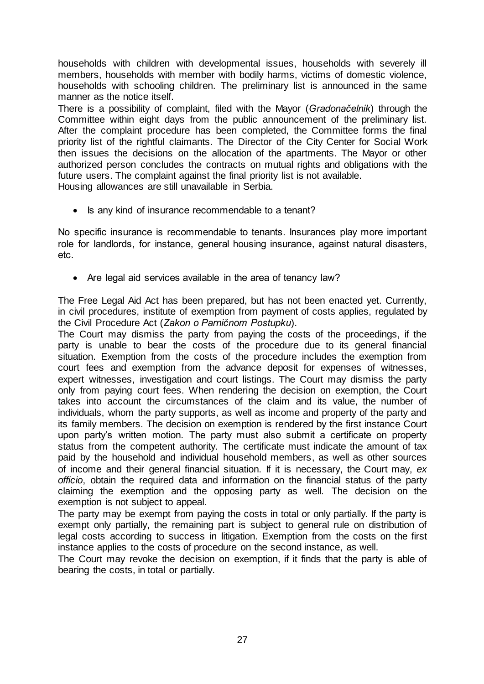households with children with developmental issues, households with severely ill members, households with member with bodily harms, victims of domestic violence, households with schooling children. The preliminary list is announced in the same manner as the notice itself.

There is a possibility of complaint, filed with the Mayor (*Gradonačelnik*) through the Committee within eight days from the public announcement of the preliminary list. After the complaint procedure has been completed, the Committee forms the final priority list of the rightful claimants. The Director of the City Center for Social Work then issues the decisions on the allocation of the apartments. The Mayor or other authorized person concludes the contracts on mutual rights and obligations with the future users. The complaint against the final priority list is not available. Housing allowances are still unavailable in Serbia.

• Is any kind of insurance recommendable to a tenant?

No specific insurance is recommendable to tenants. Insurances play more important role for landlords, for instance, general housing insurance, against natural disasters, etc.

• Are legal aid services available in the area of tenancy law?

The Free Legal Aid Act has been prepared, but has not been enacted yet. Currently, in civil procedures, institute of exemption from payment of costs applies, regulated by the Civil Procedure Act (*Zakon o Parničnom Postupku*).

The Court may dismiss the party from paying the costs of the proceedings, if the party is unable to bear the costs of the procedure due to its general financial situation. Exemption from the costs of the procedure includes the exemption from court fees and exemption from the advance deposit for expenses of witnesses, expert witnesses, investigation and court listings. The Court may dismiss the party only from paying court fees. When rendering the decision on exemption, the Court takes into account the circumstances of the claim and its value, the number of individuals, whom the party supports, as well as income and property of the party and its family members. The decision on exemption is rendered by the first instance Court upon party's written motion. The party must also submit a certificate on property status from the competent authority. The certificate must indicate the amount of tax paid by the household and individual household members, as well as other sources of income and their general financial situation. If it is necessary, the Court may, *ex officio*, obtain the required data and information on the financial status of the party claiming the exemption and the opposing party as well. The decision on the exemption is not subject to appeal.

The party may be exempt from paying the costs in total or only partially. If the party is exempt only partially, the remaining part is subject to general rule on distribution of legal costs according to success in litigation. Exemption from the costs on the first instance applies to the costs of procedure on the second instance, as well.

The Court may revoke the decision on exemption, if it finds that the party is able of bearing the costs, in total or partially.